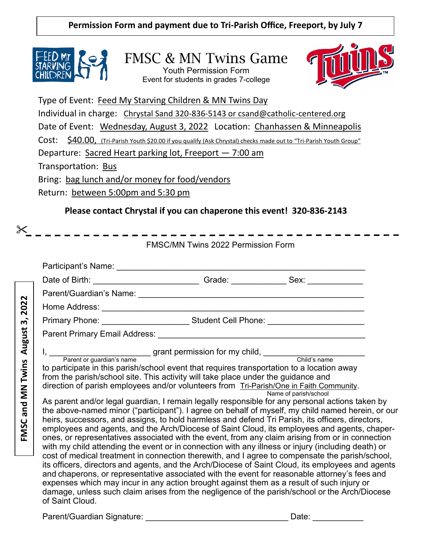**Permission Form and payment due to Tri-Parish Office, Freeport, by July 7**



FMSC & MN Twins Game Youth Permission Form Event for students in grades 7-college



Type of Event: Feed My Starving Children & MN Twins Day Individual in charge: Chrystal Sand 320-836-5143 or csand@catholic-centered.org Date of Event: Wednesday, August 3, 2022 Location: Chanhassen & Minneapolis Cost: \$40.00, (Tri-Parish Youth \$20.00 if you qualify (Ask Chrystal) checks made out to "Tri-Parish Youth Group" Departure: Sacred Heart parking lot, Freeport — 7:00 am Transportation: Bus Bring: bag lunch and/or money for food/vendors Return: between 5:00pm and 5:30 pm

## **Please contact Chrystal if you can chaperone this event! 320-836-2143**

FMSC/MN Twins 2022 Permission Form Participant's Name: \_\_\_\_\_\_\_\_\_\_\_\_\_\_\_\_\_\_\_\_\_\_\_\_\_\_\_\_\_\_\_\_\_\_\_\_\_\_\_\_\_\_\_\_\_\_\_\_\_\_\_\_\_\_ Date of Birth: \_\_\_\_\_\_\_\_\_\_\_\_\_\_\_\_\_\_\_\_\_\_\_ Grade: \_\_\_\_\_\_\_\_\_\_\_\_ Sex: \_\_\_\_\_\_\_\_\_\_\_\_ Parent/Guardian's Name: \_\_\_\_\_\_\_\_\_\_\_\_\_\_\_\_\_\_\_\_\_\_\_\_\_\_\_\_\_\_\_\_\_\_\_\_\_\_\_\_\_\_\_\_\_\_\_\_\_ FMSC and MN Twins August 3, 2022 **FMSC and MN Twins August 3, 2022**Home Address: \_\_\_\_\_\_\_\_\_\_\_\_\_\_\_\_\_\_\_\_\_\_\_\_\_\_\_\_\_\_\_\_\_\_\_\_\_\_\_\_\_\_\_\_\_\_\_\_\_\_\_\_\_\_\_\_\_ Primary Phone: \_\_\_\_\_\_\_\_\_\_\_\_\_\_\_\_\_\_\_\_\_\_\_\_\_\_\_\_Student Cell Phone: \_\_\_\_\_\_\_\_\_\_\_\_\_\_\_\_\_\_ Parent Primary Email Address: **Example 2018** I, \_\_\_\_\_\_\_\_\_\_\_\_\_\_\_\_\_\_\_\_\_\_ grant permission for my child, \_\_\_\_\_\_\_\_\_\_\_\_\_\_\_\_\_\_\_\_\_\_ Parent or guardian's name Child's name to participate in this parish/school event that requires transportation to a location away from the parish/school site. This activity will take place under the guidance and direction of parish employees and/or volunteers from Tri-Parish/One in Faith Community. Name of parish/school As parent and/or legal guardian, I remain legally responsible for any personal actions taken by the above-named minor ("participant"). I agree on behalf of myself, my child named herein, or our heirs, successors, and assigns, to hold harmless and defend Tri Parish, its officers, directors, employees and agents, and the Arch/Diocese of Saint Cloud, its employees and agents, chaperones, or representatives associated with the event, from any claim arising from or in connection with my child attending the event or in connection with any illness or injury (including death) or cost of medical treatment in connection therewith, and I agree to compensate the parish/school, its officers, directors and agents, and the Arch/Diocese of Saint Cloud, its employees and agents and chaperons, or representative associated with the event for reasonable attorney's fees and expenses which may incur in any action brought against them as a result of such injury or damage, unless such claim arises from the negligence of the parish/school or the Arch/Diocese of Saint Cloud.

Parent/Guardian Signature: \_\_\_\_\_\_\_\_\_\_\_\_\_\_\_\_\_\_\_\_\_\_\_\_\_\_\_\_\_\_\_ Date: \_\_\_\_\_\_\_\_\_\_\_